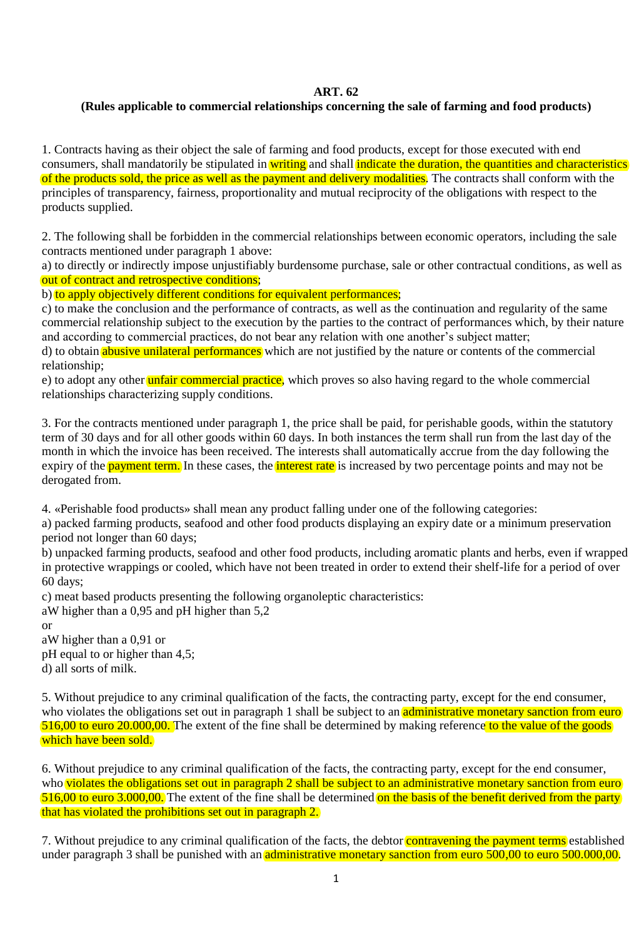## **ART. 62**

## **(Rules applicable to commercial relationships concerning the sale of farming and food products)**

1. Contracts having as their object the sale of farming and food products, except for those executed with end consumers, shall mandatorily be stipulated in writing and shall indicate the duration, the quantities and characteristics of the products sold, the price as well as the payment and delivery modalities. The contracts shall conform with the principles of transparency, fairness, proportionality and mutual reciprocity of the obligations with respect to the products supplied.

2. The following shall be forbidden in the commercial relationships between economic operators, including the sale contracts mentioned under paragraph 1 above:

a) to directly or indirectly impose unjustifiably burdensome purchase, sale or other contractual conditions, as well as out of contract and retrospective conditions;

b) to apply objectively different conditions for equivalent performances;

c) to make the conclusion and the performance of contracts, as well as the continuation and regularity of the same commercial relationship subject to the execution by the parties to the contract of performances which, by their nature and according to commercial practices, do not bear any relation with one another's subject matter;

d) to obtain abusive unilateral performances which are not justified by the nature or contents of the commercial relationship;

e) to adopt any other unfair commercial practice, which proves so also having regard to the whole commercial relationships characterizing supply conditions.

3. For the contracts mentioned under paragraph 1, the price shall be paid, for perishable goods, within the statutory term of 30 days and for all other goods within 60 days. In both instances the term shall run from the last day of the month in which the invoice has been received. The interests shall automatically accrue from the day following the expiry of the **payment term.** In these cases, the **interest rate** is increased by two percentage points and may not be derogated from.

4. «Perishable food products» shall mean any product falling under one of the following categories:

a) packed farming products, seafood and other food products displaying an expiry date or a minimum preservation period not longer than 60 days;

b) unpacked farming products, seafood and other food products, including aromatic plants and herbs, even if wrapped in protective wrappings or cooled, which have not been treated in order to extend their shelf-life for a period of over 60 days;

c) meat based products presenting the following organoleptic characteristics:

aW higher than a 0,95 and pH higher than 5,2

or

aW higher than a 0,91 or pH equal to or higher than 4,5; d) all sorts of milk.

5. Without prejudice to any criminal qualification of the facts, the contracting party, except for the end consumer, who violates the obligations set out in paragraph 1 shall be subject to an administrative monetary sanction from euro 516,00 to euro 20.000,00. The extent of the fine shall be determined by making reference to the value of the goods which have been sold.

6. Without prejudice to any criminal qualification of the facts, the contracting party, except for the end consumer, who violates the obligations set out in paragraph 2 shall be subject to an administrative monetary sanction from euro 516,00 to euro 3.000,00. The extent of the fine shall be determined on the basis of the benefit derived from the party that has violated the prohibitions set out in paragraph 2.

7. Without prejudice to any criminal qualification of the facts, the debtor contravening the payment terms established under paragraph 3 shall be punished with an administrative monetary sanction from euro 500,00 to euro 500.000,00.